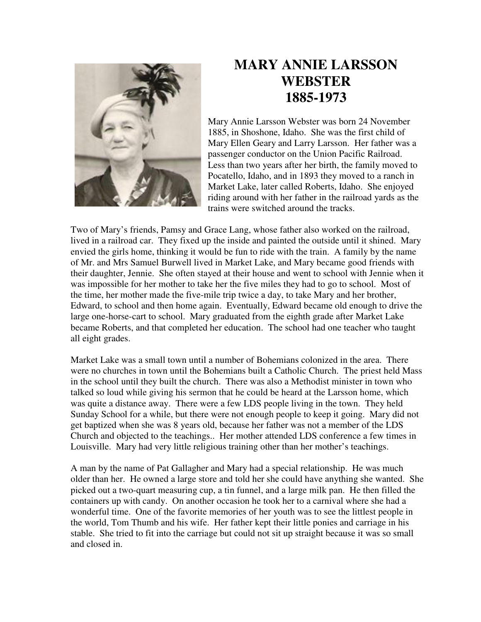

## **MARY ANNIE LARSSON WEBSTER 1885-1973**

Mary Annie Larsson Webster was born 24 November 1885, in Shoshone, Idaho. She was the first child of Mary Ellen Geary and Larry Larsson. Her father was a passenger conductor on the Union Pacific Railroad. Less than two years after her birth, the family moved to Pocatello, Idaho, and in 1893 they moved to a ranch in Market Lake, later called Roberts, Idaho. She enjoyed riding around with her father in the railroad yards as the trains were switched around the tracks.

Two of Mary's friends, Pamsy and Grace Lang, whose father also worked on the railroad, lived in a railroad car. They fixed up the inside and painted the outside until it shined. Mary envied the girls home, thinking it would be fun to ride with the train. A family by the name of Mr. and Mrs Samuel Burwell lived in Market Lake, and Mary became good friends with their daughter, Jennie. She often stayed at their house and went to school with Jennie when it was impossible for her mother to take her the five miles they had to go to school. Most of the time, her mother made the five-mile trip twice a day, to take Mary and her brother, Edward, to school and then home again. Eventually, Edward became old enough to drive the large one-horse-cart to school. Mary graduated from the eighth grade after Market Lake became Roberts, and that completed her education. The school had one teacher who taught all eight grades.

Market Lake was a small town until a number of Bohemians colonized in the area. There were no churches in town until the Bohemians built a Catholic Church. The priest held Mass in the school until they built the church. There was also a Methodist minister in town who talked so loud while giving his sermon that he could be heard at the Larsson home, which was quite a distance away. There were a few LDS people living in the town. They held Sunday School for a while, but there were not enough people to keep it going. Mary did not get baptized when she was 8 years old, because her father was not a member of the LDS Church and objected to the teachings.. Her mother attended LDS conference a few times in Louisville. Mary had very little religious training other than her mother's teachings.

A man by the name of Pat Gallagher and Mary had a special relationship. He was much older than her. He owned a large store and told her she could have anything she wanted. She picked out a two-quart measuring cup, a tin funnel, and a large milk pan. He then filled the containers up with candy. On another occasion he took her to a carnival where she had a wonderful time. One of the favorite memories of her youth was to see the littlest people in the world, Tom Thumb and his wife. Her father kept their little ponies and carriage in his stable. She tried to fit into the carriage but could not sit up straight because it was so small and closed in.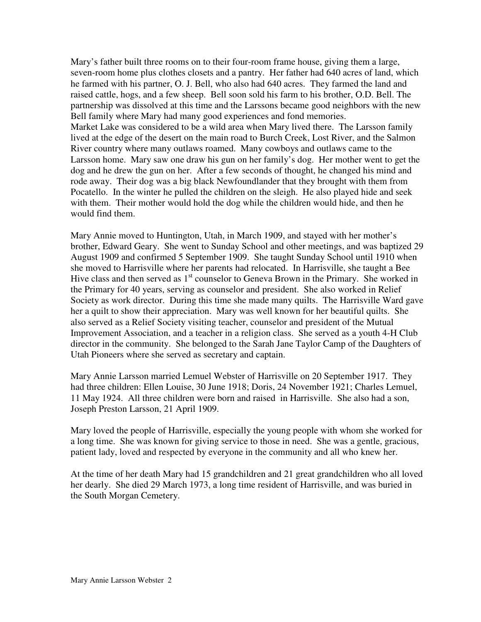Mary's father built three rooms on to their four-room frame house, giving them a large, seven-room home plus clothes closets and a pantry. Her father had 640 acres of land, which he farmed with his partner, O. J. Bell, who also had 640 acres. They farmed the land and raised cattle, hogs, and a few sheep. Bell soon sold his farm to his brother, O.D. Bell. The partnership was dissolved at this time and the Larssons became good neighbors with the new Bell family where Mary had many good experiences and fond memories. Market Lake was considered to be a wild area when Mary lived there. The Larsson family lived at the edge of the desert on the main road to Burch Creek, Lost River, and the Salmon River country where many outlaws roamed. Many cowboys and outlaws came to the Larsson home. Mary saw one draw his gun on her family's dog. Her mother went to get the dog and he drew the gun on her. After a few seconds of thought, he changed his mind and rode away. Their dog was a big black Newfoundlander that they brought with them from Pocatello. In the winter he pulled the children on the sleigh. He also played hide and seek with them. Their mother would hold the dog while the children would hide, and then he would find them.

Mary Annie moved to Huntington, Utah, in March 1909, and stayed with her mother's brother, Edward Geary. She went to Sunday School and other meetings, and was baptized 29 August 1909 and confirmed 5 September 1909. She taught Sunday School until 1910 when she moved to Harrisville where her parents had relocated. In Harrisville, she taught a Bee Hive class and then served as  $1<sup>st</sup>$  counselor to Geneva Brown in the Primary. She worked in the Primary for 40 years, serving as counselor and president. She also worked in Relief Society as work director. During this time she made many quilts. The Harrisville Ward gave her a quilt to show their appreciation. Mary was well known for her beautiful quilts. She also served as a Relief Society visiting teacher, counselor and president of the Mutual Improvement Association, and a teacher in a religion class. She served as a youth 4-H Club director in the community. She belonged to the Sarah Jane Taylor Camp of the Daughters of Utah Pioneers where she served as secretary and captain.

Mary Annie Larsson married Lemuel Webster of Harrisville on 20 September 1917. They had three children: Ellen Louise, 30 June 1918; Doris, 24 November 1921; Charles Lemuel, 11 May 1924. All three children were born and raised in Harrisville. She also had a son, Joseph Preston Larsson, 21 April 1909.

Mary loved the people of Harrisville, especially the young people with whom she worked for a long time. She was known for giving service to those in need. She was a gentle, gracious, patient lady, loved and respected by everyone in the community and all who knew her.

At the time of her death Mary had 15 grandchildren and 21 great grandchildren who all loved her dearly. She died 29 March 1973, a long time resident of Harrisville, and was buried in the South Morgan Cemetery.